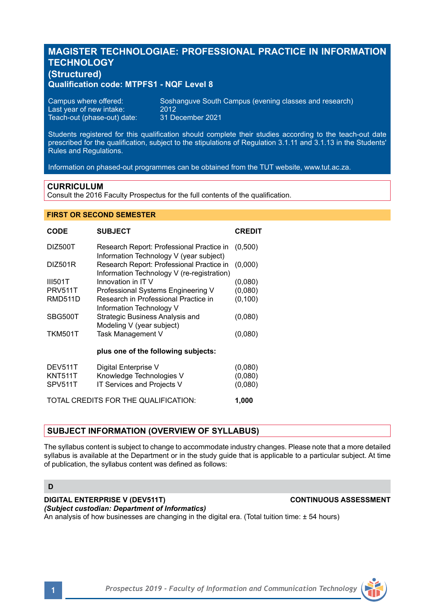# **MAGISTER TECHNOLOGIAE: PROFESSIONAL PRACTICE IN INFORMATION TECHNOLOGY (Structured)**

# **Qualification code: MTPFS1 - NQF Level 8**

| Campus where offered:       | Soshanguve South Campus (evening classes and research) |
|-----------------------------|--------------------------------------------------------|
| Last vear of new intake:    | 2012                                                   |
| Teach-out (phase-out) date: | 31 December 2021                                       |

Students registered for this qualification should complete their studies according to the teach-out date prescribed for the qualification, subject to the stipulations of Regulation 3.1.11 and 3.1.13 in the Students' Rules and Regulations.

Information on phased-out programmes can be obtained from the TUT website, www.tut.ac.za.

## **CURRICULUM**

Consult the 2016 Faculty Prospectus for the full contents of the qualification.

# **FIRST OR SECOND SEMESTER**

| <b>CODE</b>                          | <b>SUBJECT</b>                                                                          | <b>CREDIT</b> |
|--------------------------------------|-----------------------------------------------------------------------------------------|---------------|
| DIZ500T                              | Research Report: Professional Practice in<br>Information Technology V (year subject)    | (0,500)       |
| DIZ501R                              | Research Report: Professional Practice in<br>Information Technology V (re-registration) | (0,000)       |
| <b>III501T</b>                       | Innovation in IT V                                                                      | (0.080)       |
| <b>PRV511T</b>                       | Professional Systems Engineering V                                                      | (0.080)       |
| RMD511D                              | Research in Professional Practice in<br>Information Technology V                        | (0, 100)      |
| SBG500T                              | Strategic Business Analysis and<br>Modeling V (year subject)                            | (0.080)       |
| <b>TKM501T</b>                       | Task Management V                                                                       | (0.080)       |
|                                      | plus one of the following subjects:                                                     |               |
| DEV511T                              | Digital Enterprise V                                                                    | (0,080)       |
| <b>KNT511T</b>                       | Knowledge Technologies V                                                                | (0.080)       |
| SPV511T                              | IT Services and Projects V                                                              | (0.080)       |
| TOTAL CREDITS FOR THE QUALIFICATION: |                                                                                         | 1.000         |

# **SUBJECT INFORMATION (OVERVIEW OF SYLLABUS)**

The syllabus content is subject to change to accommodate industry changes. Please note that a more detailed syllabus is available at the Department or in the study guide that is applicable to a particular subject. At time of publication, the syllabus content was defined as follows:

### **D**

**DIGITAL ENTERPRISE V (DEV511T) CONTINUOUS ASSESSMENT** *(Subject custodian: Department of Informatics)* An analysis of how businesses are changing in the digital era. (Total tuition time: ± 54 hours)